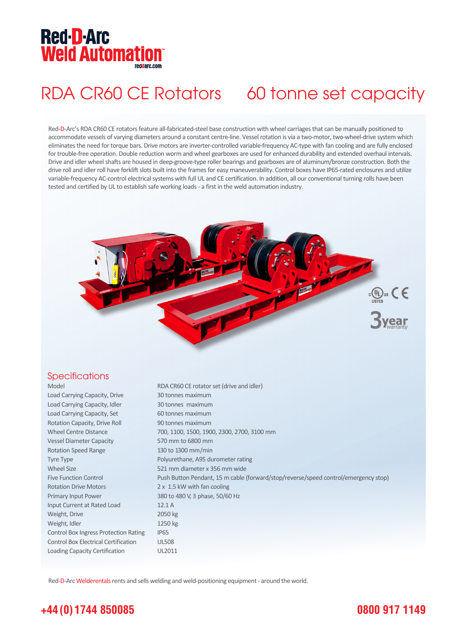## **Red-D-Arc Weld Automation®**

## RDA CR60 CE Rotators 60 tonne set capacity

Red-D-Arc's RDA CR60 CE rotators feature all-fabricated-steel base construction with wheel carriages that can be manually positioned to accommodate vessels of varying diameters around a constant centre-line. Vessel rotation is via a two-motor, two-wheel-drive system which eliminates the need for torque bars. Drive motors are inverter-controlled variable-frequency AC-type with fan cooling and are fully enclosed for trouble-free operation. Double reduction worm and wheel gearboxes are used for enhanced durability and extended overhaul intervals. Drive and idler wheel shafts are housed in deep-groove-type roller bearings and gearboxes are of aluminum/bronze construction. Both the drive roll and idler roll have forklift slots built into the frames for easy maneuverability. Control boxes have IP65-rated enclosures and utilize variable-frequency AC-control electrical systems with full UL and CE certification. In addition, all our conventional turning rolls have been tested and certified by UL to establish safe working loads - a first in the weld automation industry.



#### **Specifications**

| Model                                        | RDA CR60 CE rotator set (drive and idler)                                           |
|----------------------------------------------|-------------------------------------------------------------------------------------|
| Load Carrying Capacity, Drive                | 30 tonnes maximum                                                                   |
| Load Carrying Capacity, Idler                | 30 tonnes maximum                                                                   |
| Load Carrying Capacity, Set                  | 60 tonnes maximum                                                                   |
| Rotation Capacity, Drive Roll                | 90 tonnes maximum                                                                   |
| <b>Wheel Centre Distance</b>                 | 700, 1100, 1500, 1900, 2300, 2700, 3100 mm                                          |
| <b>Vessel Diameter Capacity</b>              | 570 mm to 6800 mm                                                                   |
| <b>Rotation Speed Range</b>                  | 130 to 1300 mm/min                                                                  |
| Tyre Type                                    | Polyurethane, A95 durometer rating                                                  |
| <b>Wheel Size</b>                            | 521 mm diameter x 356 mm wide                                                       |
| <b>Five Function Control</b>                 | Push Button Pendant, 15 m cable (forward/stop/reverse/speed control/emergency stop) |
| <b>Rotation Drive Motors</b>                 | 2 x 1.5 kW with fan cooling                                                         |
| Primary Input Power                          | 380 to 480 V, 3 phase, 50/60 Hz                                                     |
| Input Current at Rated Load                  | 12.1A                                                                               |
| Weight, Drive                                | 2050 kg                                                                             |
| Weight, Idler                                | 1250 kg                                                                             |
| <b>Control Box Ingress Protection Rating</b> | IP <sub>65</sub>                                                                    |
| <b>Control Box Electrical Certification</b>  | <b>UL508</b>                                                                        |
| Loading Capacity Certification               | UL2011                                                                              |

Red-D-Arc Welderentals rents and sells welding and weld-positioning equipment - around the world.

### **+44 (0) 1744 850085**

### **0800 917 1149**